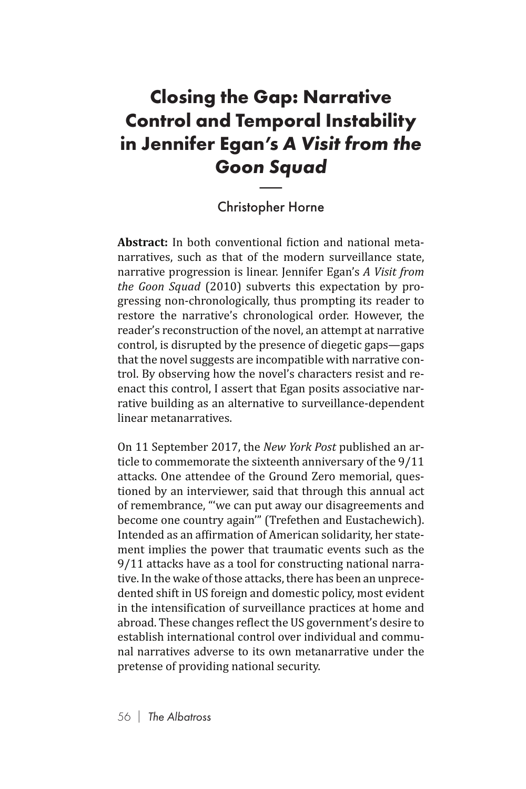## **Closing the Gap: Narrative Control and Temporal Instability in Jennifer Egan's** *A Visit from the Goon Squad* mp<br>n's<br>n Sq<br>pher

## Christopher Horne

**Abstract:** In both conventional fiction and national metanarratives, such as that of the modern surveillance state, narrative progression is linear. Jennifer Egan's *A Visit from the Goon Squad* (2010) subverts this expectation by progressing non-chronologically, thus prompting its reader to restore the narrative's chronological order. However, the reader's reconstruction of the novel, an attempt at narrative control, is disrupted by the presence of diegetic gaps—gaps that the novel suggests are incompatible with narrative control. By observing how the novel's characters resist and reenact this control, I assert that Egan posits associative narrative building as an alternative to surveillance-dependent linear metanarratives.

On 11 September 2017, the *New York Post* published an article to commemorate the sixteenth anniversary of the 9/11 attacks. One attendee of the Ground Zero memorial, questioned by an interviewer, said that through this annual act of remembrance, "'we can put away our disagreements and become one country again'" (Trefethen and Eustachewich). Intended as an affirmation of American solidarity, her statement implies the power that traumatic events such as the 9/11 attacks have as a tool for constructing national narrative. In the wake of those attacks, there has been an unprecedented shift in US foreign and domestic policy, most evident in the intensification of surveillance practices at home and abroad. These changes reflect the US government's desire to establish international control over individual and communal narratives adverse to its own metanarrative under the pretense of providing national security.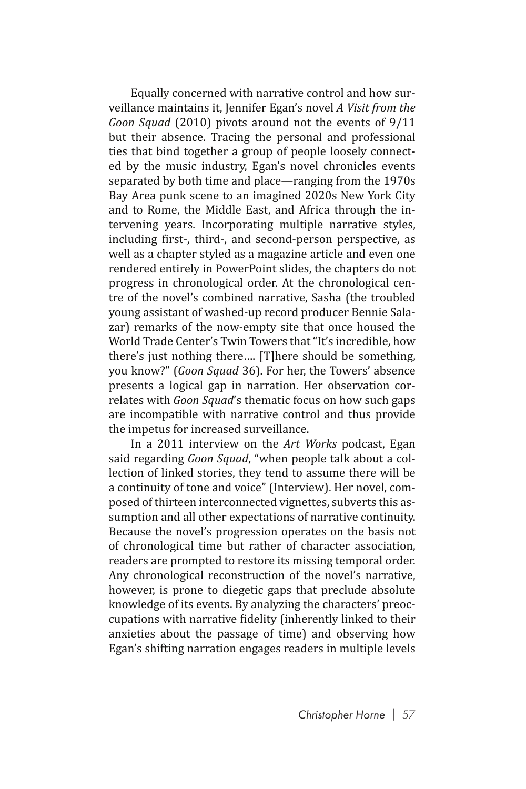Equally concerned with narrative control and how surveillance maintains it, Jennifer Egan's novel *A Visit from the Goon Squad* (2010) pivots around not the events of 9/11 but their absence. Tracing the personal and professional ties that bind together a group of people loosely connected by the music industry, Egan's novel chronicles events separated by both time and place—ranging from the 1970s Bay Area punk scene to an imagined 2020s New York City and to Rome, the Middle East, and Africa through the intervening years. Incorporating multiple narrative styles, including first-, third-, and second-person perspective, as well as a chapter styled as a magazine article and even one rendered entirely in PowerPoint slides, the chapters do not progress in chronological order. At the chronological centre of the novel's combined narrative, Sasha (the troubled young assistant of washed-up record producer Bennie Salazar) remarks of the now-empty site that once housed the World Trade Center's Twin Towers that "It's incredible, how there's just nothing there…. [T]here should be something, you know?" (*Goon Squad* 36). For her, the Towers' absence presents a logical gap in narration. Her observation correlates with *Goon Squad*'s thematic focus on how such gaps are incompatible with narrative control and thus provide the impetus for increased surveillance.

In a 2011 interview on the *Art Works* podcast, Egan said regarding *Goon Squad*, "when people talk about a collection of linked stories, they tend to assume there will be a continuity of tone and voice" (Interview). Her novel, composed of thirteen interconnected vignettes, subverts this assumption and all other expectations of narrative continuity. Because the novel's progression operates on the basis not of chronological time but rather of character association, readers are prompted to restore its missing temporal order. Any chronological reconstruction of the novel's narrative, however, is prone to diegetic gaps that preclude absolute knowledge of its events. By analyzing the characters' preoccupations with narrative fidelity (inherently linked to their anxieties about the passage of time) and observing how Egan's shifting narration engages readers in multiple levels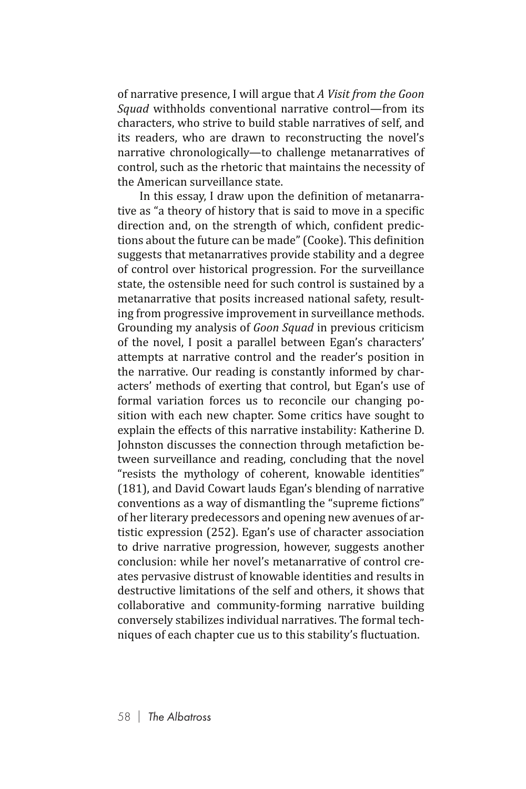of narrative presence, I will argue that *A Visit from the Goon Squad* withholds conventional narrative control—from its characters, who strive to build stable narratives of self, and its readers, who are drawn to reconstructing the novel's narrative chronologically—to challenge metanarratives of control, such as the rhetoric that maintains the necessity of the American surveillance state.

In this essay, I draw upon the definition of metanarrative as "a theory of history that is said to move in a specific direction and, on the strength of which, confident predictions about the future can be made" (Cooke). This definition suggests that metanarratives provide stability and a degree of control over historical progression. For the surveillance state, the ostensible need for such control is sustained by a metanarrative that posits increased national safety, resulting from progressive improvement in surveillance methods. Grounding my analysis of *Goon Squad* in previous criticism of the novel, I posit a parallel between Egan's characters' attempts at narrative control and the reader's position in the narrative. Our reading is constantly informed by characters' methods of exerting that control, but Egan's use of formal variation forces us to reconcile our changing position with each new chapter. Some critics have sought to explain the effects of this narrative instability: Katherine D. Johnston discusses the connection through metafiction between surveillance and reading, concluding that the novel "resists the mythology of coherent, knowable identities" (181), and David Cowart lauds Egan's blending of narrative conventions as a way of dismantling the "supreme fictions" of her literary predecessors and opening new avenues of artistic expression (252). Egan's use of character association to drive narrative progression, however, suggests another conclusion: while her novel's metanarrative of control creates pervasive distrust of knowable identities and results in destructive limitations of the self and others, it shows that collaborative and community-forming narrative building conversely stabilizes individual narratives. The formal techniques of each chapter cue us to this stability's fluctuation.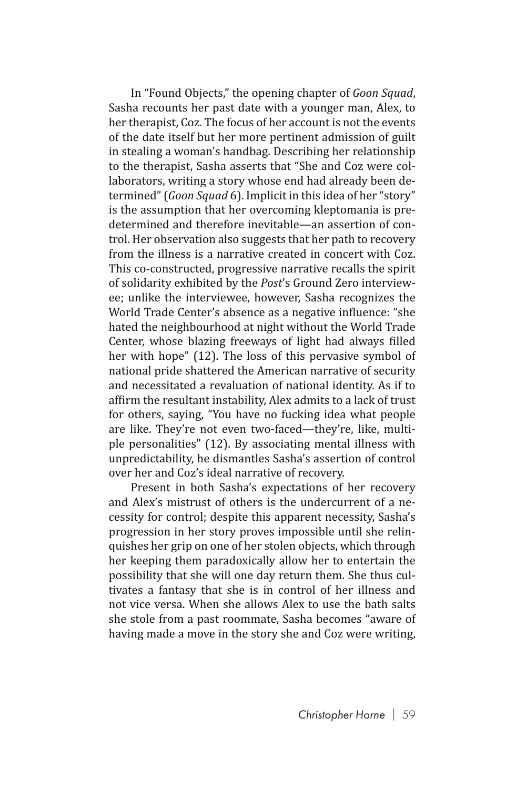In "Found Objects," the opening chapter of *Goon Squad*, Sasha recounts her past date with a younger man, Alex, to her therapist, Coz. The focus of her account is not the events of the date itself but her more pertinent admission of guilt in stealing a woman's handbag. Describing her relationship to the therapist, Sasha asserts that "She and Coz were collaborators, writing a story whose end had already been determined" (*Goon Squad* 6). Implicit in this idea of her "story" is the assumption that her overcoming kleptomania is predetermined and therefore inevitable—an assertion of control. Her observation also suggests that her path to recovery from the illness is a narrative created in concert with Coz. This co-constructed, progressive narrative recalls the spirit of solidarity exhibited by the *Post*'s Ground Zero interviewee; unlike the interviewee, however, Sasha recognizes the World Trade Center's absence as a negative influence: "she hated the neighbourhood at night without the World Trade Center, whose blazing freeways of light had always filled her with hope" (12). The loss of this pervasive symbol of national pride shattered the American narrative of security and necessitated a revaluation of national identity. As if to affirm the resultant instability, Alex admits to a lack of trust for others, saying, "You have no fucking idea what people are like. They're not even two-faced—they're, like, multiple personalities" (12). By associating mental illness with unpredictability, he dismantles Sasha's assertion of control over her and Coz's ideal narrative of recovery.

Present in both Sasha's expectations of her recovery and Alex's mistrust of others is the undercurrent of a necessity for control; despite this apparent necessity, Sasha's progression in her story proves impossible until she relinquishes her grip on one of her stolen objects, which through her keeping them paradoxically allow her to entertain the possibility that she will one day return them. She thus cultivates a fantasy that she is in control of her illness and not vice versa. When she allows Alex to use the bath salts she stole from a past roommate, Sasha becomes "aware of having made a move in the story she and Coz were writing,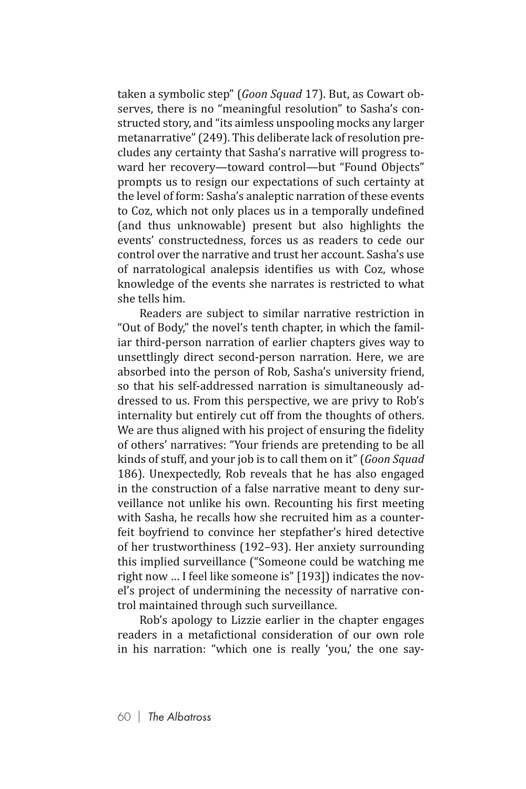taken a symbolic step" (*Goon Squad* 17). But, as Cowart observes, there is no "meaningful resolution" to Sasha's constructed story, and "its aimless unspooling mocks any larger metanarrative" (249). This deliberate lack of resolution precludes any certainty that Sasha's narrative will progress toward her recovery—toward control—but "Found Objects" prompts us to resign our expectations of such certainty at the level of form: Sasha's analeptic narration of these events to Coz, which not only places us in a temporally undefined (and thus unknowable) present but also highlights the events' constructedness, forces us as readers to cede our control over the narrative and trust her account. Sasha's use of narratological analepsis identifies us with Coz, whose knowledge of the events she narrates is restricted to what she tells him.

Readers are subject to similar narrative restriction in "Out of Body," the novel's tenth chapter, in which the familiar third-person narration of earlier chapters gives way to unsettlingly direct second-person narration. Here, we are absorbed into the person of Rob, Sasha's university friend, so that his self-addressed narration is simultaneously addressed to us. From this perspective, we are privy to Rob's internality but entirely cut off from the thoughts of others. We are thus aligned with his project of ensuring the fidelity of others' narratives: "Your friends are pretending to be all kinds of stuff, and your job is to call them on it" (*Goon Squad*  186). Unexpectedly, Rob reveals that he has also engaged in the construction of a false narrative meant to deny surveillance not unlike his own. Recounting his first meeting with Sasha, he recalls how she recruited him as a counterfeit boyfriend to convince her stepfather's hired detective of her trustworthiness (192–93). Her anxiety surrounding this implied surveillance ("Someone could be watching me right now … I feel like someone is" [193]) indicates the novel's project of undermining the necessity of narrative control maintained through such surveillance.

Rob's apology to Lizzie earlier in the chapter engages readers in a metafictional consideration of our own role in his narration: "which one is really 'you,' the one say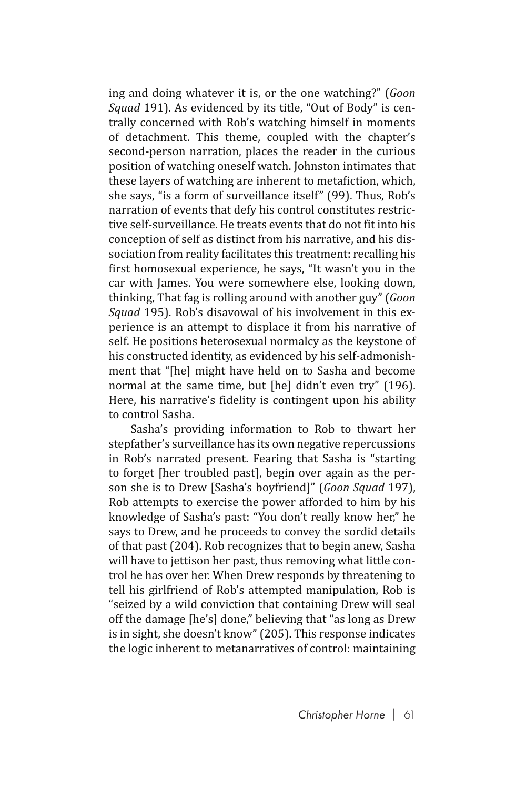ing and doing whatever it is, or the one watching?" (*Goon Squad* 191). As evidenced by its title, "Out of Body" is centrally concerned with Rob's watching himself in moments of detachment. This theme, coupled with the chapter's second-person narration, places the reader in the curious position of watching oneself watch. Johnston intimates that these layers of watching are inherent to metafiction, which, she says, "is a form of surveillance itself" (99). Thus, Rob's narration of events that defy his control constitutes restrictive self-surveillance. He treats events that do not fit into his conception of self as distinct from his narrative, and his dissociation from reality facilitates this treatment: recalling his first homosexual experience, he says, "It wasn't you in the car with James. You were somewhere else, looking down, thinking, That fag is rolling around with another guy" (*Goon Squad* 195). Rob's disavowal of his involvement in this experience is an attempt to displace it from his narrative of self. He positions heterosexual normalcy as the keystone of his constructed identity, as evidenced by his self-admonishment that "[he] might have held on to Sasha and become normal at the same time, but [he] didn't even try" (196). Here, his narrative's fidelity is contingent upon his ability to control Sasha.

Sasha's providing information to Rob to thwart her stepfather's surveillance has its own negative repercussions in Rob's narrated present. Fearing that Sasha is "starting to forget [her troubled past], begin over again as the person she is to Drew [Sasha's boyfriend]" (*Goon Squad* 197), Rob attempts to exercise the power afforded to him by his knowledge of Sasha's past: "You don't really know her," he says to Drew, and he proceeds to convey the sordid details of that past (204). Rob recognizes that to begin anew, Sasha will have to jettison her past, thus removing what little control he has over her. When Drew responds by threatening to tell his girlfriend of Rob's attempted manipulation, Rob is "seized by a wild conviction that containing Drew will seal off the damage [he's] done," believing that "as long as Drew is in sight, she doesn't know" (205). This response indicates the logic inherent to metanarratives of control: maintaining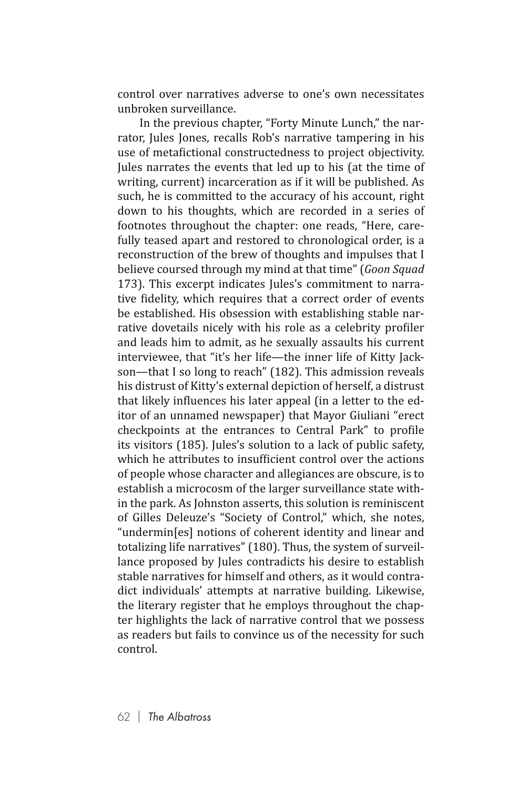control over narratives adverse to one's own necessitates unbroken surveillance.

In the previous chapter, "Forty Minute Lunch," the narrator, Jules Jones, recalls Rob's narrative tampering in his use of metafictional constructedness to project objectivity. Jules narrates the events that led up to his (at the time of writing, current) incarceration as if it will be published. As such, he is committed to the accuracy of his account, right down to his thoughts, which are recorded in a series of footnotes throughout the chapter: one reads, "Here, carefully teased apart and restored to chronological order, is a reconstruction of the brew of thoughts and impulses that I believe coursed through my mind at that time" (*Goon Squad*  173). This excerpt indicates Jules's commitment to narrative fidelity, which requires that a correct order of events be established. His obsession with establishing stable narrative dovetails nicely with his role as a celebrity profiler and leads him to admit, as he sexually assaults his current interviewee, that "it's her life—the inner life of Kitty Jackson—that I so long to reach" (182). This admission reveals his distrust of Kitty's external depiction of herself, a distrust that likely influences his later appeal (in a letter to the editor of an unnamed newspaper) that Mayor Giuliani "erect checkpoints at the entrances to Central Park" to profile its visitors (185). Jules's solution to a lack of public safety, which he attributes to insufficient control over the actions of people whose character and allegiances are obscure, is to establish a microcosm of the larger surveillance state within the park. As Johnston asserts, this solution is reminiscent of Gilles Deleuze's "Society of Control," which, she notes, "undermin[es] notions of coherent identity and linear and totalizing life narratives" (180). Thus, the system of surveillance proposed by Jules contradicts his desire to establish stable narratives for himself and others, as it would contradict individuals' attempts at narrative building. Likewise, the literary register that he employs throughout the chapter highlights the lack of narrative control that we possess as readers but fails to convince us of the necessity for such control.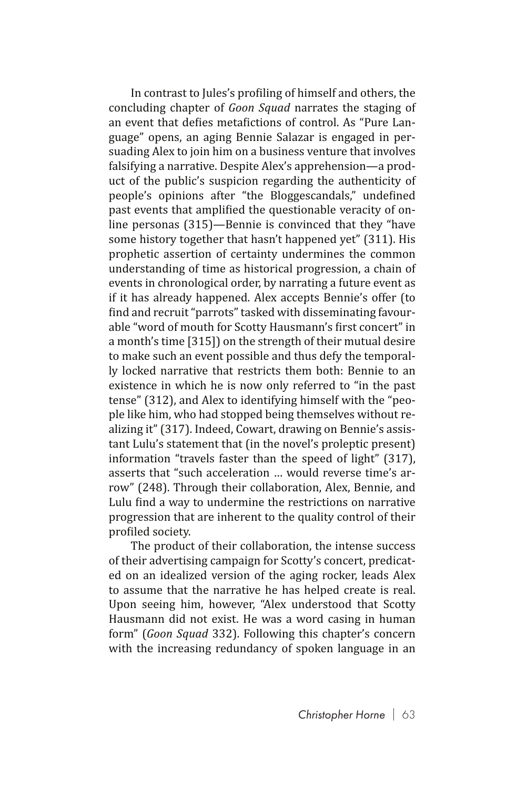In contrast to Jules's profiling of himself and others, the concluding chapter of *Goon Squad* narrates the staging of an event that defies metafictions of control. As "Pure Language" opens, an aging Bennie Salazar is engaged in persuading Alex to join him on a business venture that involves falsifying a narrative. Despite Alex's apprehension—a product of the public's suspicion regarding the authenticity of people's opinions after "the Bloggescandals," undefined past events that amplified the questionable veracity of online personas (315)—Bennie is convinced that they "have some history together that hasn't happened yet" (311). His prophetic assertion of certainty undermines the common understanding of time as historical progression, a chain of events in chronological order, by narrating a future event as if it has already happened. Alex accepts Bennie's offer (to find and recruit "parrots" tasked with disseminating favourable "word of mouth for Scotty Hausmann's first concert" in a month's time [315]) on the strength of their mutual desire to make such an event possible and thus defy the temporally locked narrative that restricts them both: Bennie to an existence in which he is now only referred to "in the past tense" (312), and Alex to identifying himself with the "people like him, who had stopped being themselves without realizing it" (317). Indeed, Cowart, drawing on Bennie's assistant Lulu's statement that (in the novel's proleptic present) information "travels faster than the speed of light" (317), asserts that "such acceleration … would reverse time's arrow" (248). Through their collaboration, Alex, Bennie, and Lulu find a way to undermine the restrictions on narrative progression that are inherent to the quality control of their profiled society.

The product of their collaboration, the intense success of their advertising campaign for Scotty's concert, predicated on an idealized version of the aging rocker, leads Alex to assume that the narrative he has helped create is real. Upon seeing him, however, "Alex understood that Scotty Hausmann did not exist. He was a word casing in human form" (*Goon Squad* 332). Following this chapter's concern with the increasing redundancy of spoken language in an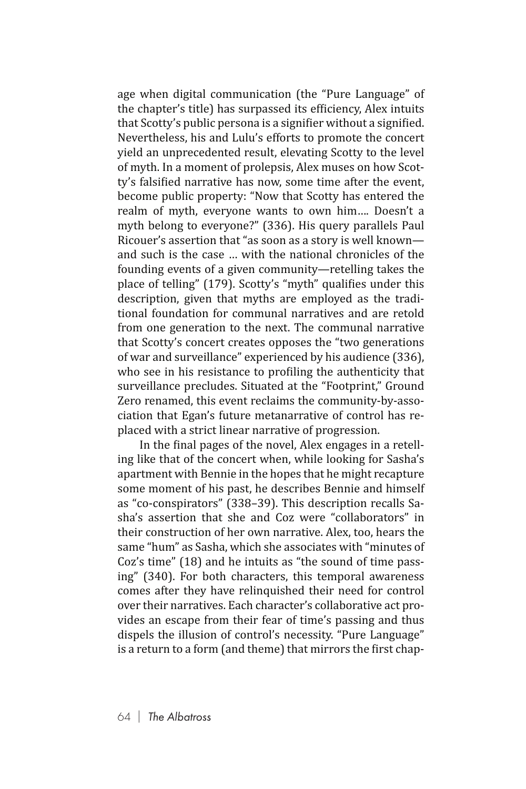age when digital communication (the "Pure Language" of the chapter's title) has surpassed its efficiency, Alex intuits that Scotty's public persona is a signifier without a signified. Nevertheless, his and Lulu's efforts to promote the concert yield an unprecedented result, elevating Scotty to the level of myth. In a moment of prolepsis, Alex muses on how Scotty's falsified narrative has now, some time after the event, become public property: "Now that Scotty has entered the realm of myth, everyone wants to own him…. Doesn't a myth belong to everyone?" (336). His query parallels Paul Ricouer's assertion that "as soon as a story is well known and such is the case with the national chronicles of the founding events of a given community—retelling takes the place of telling" (179). Scotty's "myth" qualifies under this description, given that myths are employed as the traditional foundation for communal narratives and are retold from one generation to the next. The communal narrative that Scotty's concert creates opposes the "two generations of war and surveillance" experienced by his audience (336), who see in his resistance to profiling the authenticity that surveillance precludes. Situated at the "Footprint," Ground Zero renamed, this event reclaims the community-by-association that Egan's future metanarrative of control has replaced with a strict linear narrative of progression.

In the final pages of the novel, Alex engages in a retelling like that of the concert when, while looking for Sasha's apartment with Bennie in the hopes that he might recapture some moment of his past, he describes Bennie and himself as "co-conspirators" (338–39). This description recalls Sasha's assertion that she and Coz were "collaborators" in their construction of her own narrative. Alex, too, hears the same "hum" as Sasha, which she associates with "minutes of Coz's time" (18) and he intuits as "the sound of time passing" (340). For both characters, this temporal awareness comes after they have relinquished their need for control over their narratives. Each character's collaborative act provides an escape from their fear of time's passing and thus dispels the illusion of control's necessity. "Pure Language" is a return to a form (and theme) that mirrors the first chap